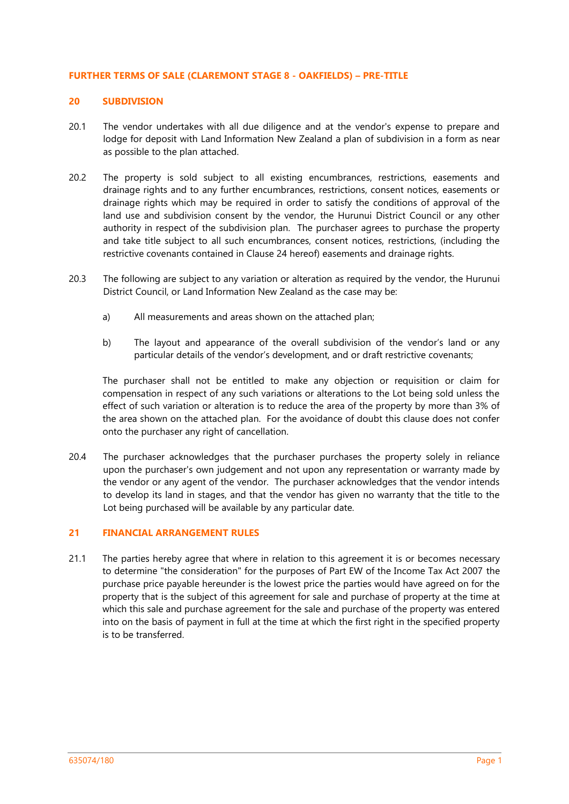#### **FURTHER TERMS OF SALE (CLAREMONT STAGE 8 - OAKFIELDS) – PRE-TITLE**

# **20 SUBDIVISION**

- 20.1 The vendor undertakes with all due diligence and at the vendor's expense to prepare and lodge for deposit with Land Information New Zealand a plan of subdivision in a form as near as possible to the plan attached.
- 20.2 The property is sold subject to all existing encumbrances, restrictions, easements and drainage rights and to any further encumbrances, restrictions, consent notices, easements or drainage rights which may be required in order to satisfy the conditions of approval of the land use and subdivision consent by the vendor, the Hurunui District Council or any other authority in respect of the subdivision plan. The purchaser agrees to purchase the property and take title subject to all such encumbrances, consent notices, restrictions, (including the restrictive covenants contained in Clause 24 hereof) easements and drainage rights.
- 20.3 The following are subject to any variation or alteration as required by the vendor, the Hurunui District Council, or Land Information New Zealand as the case may be:
	- a) All measurements and areas shown on the attached plan;
	- b) The layout and appearance of the overall subdivision of the vendor's land or any particular details of the vendor's development, and or draft restrictive covenants;

The purchaser shall not be entitled to make any objection or requisition or claim for compensation in respect of any such variations or alterations to the Lot being sold unless the effect of such variation or alteration is to reduce the area of the property by more than 3% of the area shown on the attached plan. For the avoidance of doubt this clause does not confer onto the purchaser any right of cancellation.

20.4 The purchaser acknowledges that the purchaser purchases the property solely in reliance upon the purchaser's own judgement and not upon any representation or warranty made by the vendor or any agent of the vendor. The purchaser acknowledges that the vendor intends to develop its land in stages, and that the vendor has given no warranty that the title to the Lot being purchased will be available by any particular date.

# **21 FINANCIAL ARRANGEMENT RULES**

21.1 The parties hereby agree that where in relation to this agreement it is or becomes necessary to determine "the consideration" for the purposes of Part EW of the Income Tax Act 2007 the purchase price payable hereunder is the lowest price the parties would have agreed on for the property that is the subject of this agreement for sale and purchase of property at the time at which this sale and purchase agreement for the sale and purchase of the property was entered into on the basis of payment in full at the time at which the first right in the specified property is to be transferred.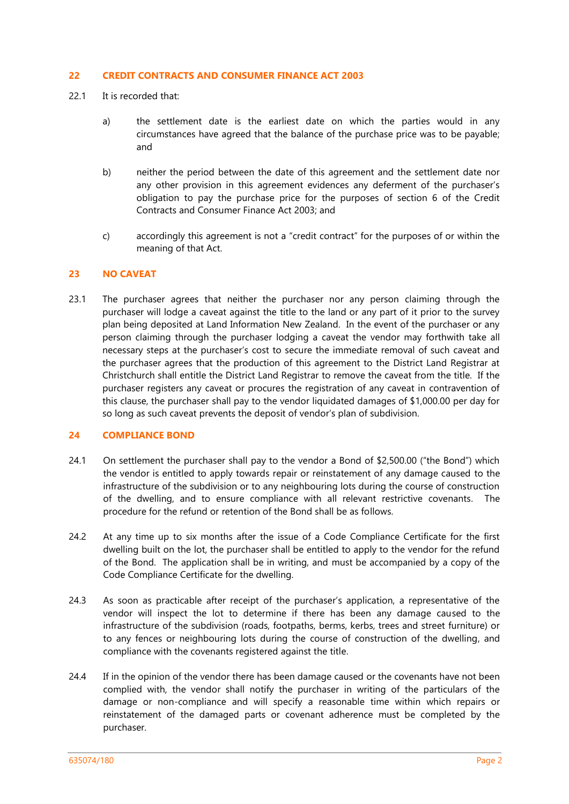#### **22 CREDIT CONTRACTS AND CONSUMER FINANCE ACT 2003**

- 22.1 It is recorded that:
	- a) the settlement date is the earliest date on which the parties would in any circumstances have agreed that the balance of the purchase price was to be payable; and
	- b) neither the period between the date of this agreement and the settlement date nor any other provision in this agreement evidences any deferment of the purchaser's obligation to pay the purchase price for the purposes of section 6 of the Credit Contracts and Consumer Finance Act 2003; and
	- c) accordingly this agreement is not a "credit contract" for the purposes of or within the meaning of that Act.

#### **23 NO CAVEAT**

23.1 The purchaser agrees that neither the purchaser nor any person claiming through the purchaser will lodge a caveat against the title to the land or any part of it prior to the survey plan being deposited at Land Information New Zealand. In the event of the purchaser or any person claiming through the purchaser lodging a caveat the vendor may forthwith take all necessary steps at the purchaser's cost to secure the immediate removal of such caveat and the purchaser agrees that the production of this agreement to the District Land Registrar at Christchurch shall entitle the District Land Registrar to remove the caveat from the title. If the purchaser registers any caveat or procures the registration of any caveat in contravention of this clause, the purchaser shall pay to the vendor liquidated damages of \$1,000.00 per day for so long as such caveat prevents the deposit of vendor's plan of subdivision.

# **24 COMPLIANCE BOND**

- 24.1 On settlement the purchaser shall pay to the vendor a Bond of \$2,500.00 ("the Bond") which the vendor is entitled to apply towards repair or reinstatement of any damage caused to the infrastructure of the subdivision or to any neighbouring lots during the course of construction of the dwelling, and to ensure compliance with all relevant restrictive covenants. The procedure for the refund or retention of the Bond shall be as follows.
- 24.2 At any time up to six months after the issue of a Code Compliance Certificate for the first dwelling built on the lot, the purchaser shall be entitled to apply to the vendor for the refund of the Bond. The application shall be in writing, and must be accompanied by a copy of the Code Compliance Certificate for the dwelling.
- 24.3 As soon as practicable after receipt of the purchaser's application, a representative of the vendor will inspect the lot to determine if there has been any damage caused to the infrastructure of the subdivision (roads, footpaths, berms, kerbs, trees and street furniture) or to any fences or neighbouring lots during the course of construction of the dwelling, and compliance with the covenants registered against the title.
- 24.4 If in the opinion of the vendor there has been damage caused or the covenants have not been complied with, the vendor shall notify the purchaser in writing of the particulars of the damage or non-compliance and will specify a reasonable time within which repairs or reinstatement of the damaged parts or covenant adherence must be completed by the purchaser.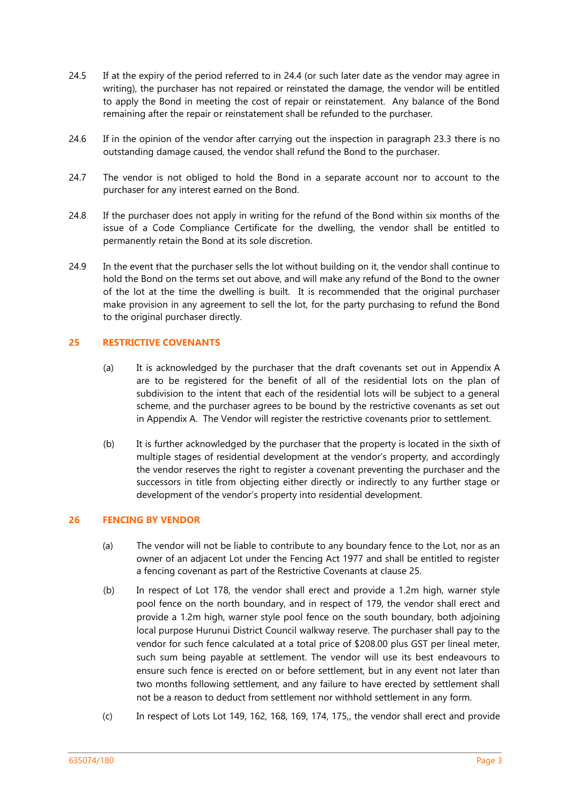- 24.5 If at the expiry of the period referred to in 24.4 (or such later date as the vendor may agree in writing), the purchaser has not repaired or reinstated the damage, the vendor will be entitled to apply the Bond in meeting the cost of repair or reinstatement. Any balance of the Bond remaining after the repair or reinstatement shall be refunded to the purchaser.
- 24.6 If in the opinion of the vendor after carrying out the inspection in paragraph 23.3 there is no outstanding damage caused, the vendor shall refund the Bond to the purchaser.
- 24.7 The vendor is not obliged to hold the Bond in a separate account nor to account to the purchaser for any interest earned on the Bond.
- 24.8 If the purchaser does not apply in writing for the refund of the Bond within six months of the issue of a Code Compliance Certificate for the dwelling, the vendor shall be entitled to permanently retain the Bond at its sole discretion.
- 24.9 In the event that the purchaser sells the lot without building on it, the vendor shall continue to hold the Bond on the terms set out above, and will make any refund of the Bond to the owner of the lot at the time the dwelling is built. It is recommended that the original purchaser make provision in any agreement to sell the lot, for the party purchasing to refund the Bond to the original purchaser directly.

# **25 RESTRICTIVE COVENANTS**

- (a) It is acknowledged by the purchaser that the draft covenants set out in Appendix A are to be registered for the benefit of all of the residential lots on the plan of subdivision to the intent that each of the residential lots will be subject to a general scheme, and the purchaser agrees to be bound by the restrictive covenants as set out in Appendix A. The Vendor will register the restrictive covenants prior to settlement.
- (b) It is further acknowledged by the purchaser that the property is located in the sixth of multiple stages of residential development at the vendor's property, and accordingly the vendor reserves the right to register a covenant preventing the purchaser and the successors in title from objecting either directly or indirectly to any further stage or development of the vendor's property into residential development.

## **26 FENCING BY VENDOR**

- (a) The vendor will not be liable to contribute to any boundary fence to the Lot, nor as an owner of an adjacent Lot under the Fencing Act 1977 and shall be entitled to register a fencing covenant as part of the Restrictive Covenants at clause 25.
- (b) In respect of Lot 178, the vendor shall erect and provide a 1.2m high, warner style pool fence on the north boundary, and in respect of 179, the vendor shall erect and provide a 1.2m high, warner style pool fence on the south boundary, both adjoining local purpose Hurunui District Council walkway reserve. The purchaser shall pay to the vendor for such fence calculated at a total price of \$208.00 plus GST per lineal meter, such sum being payable at settlement. The vendor will use its best endeavours to ensure such fence is erected on or before settlement, but in any event not later than two months following settlement, and any failure to have erected by settlement shall not be a reason to deduct from settlement nor withhold settlement in any form.
- (c) In respect of Lots Lot 149, 162, 168, 169, 174, 175,, the vendor shall erect and provide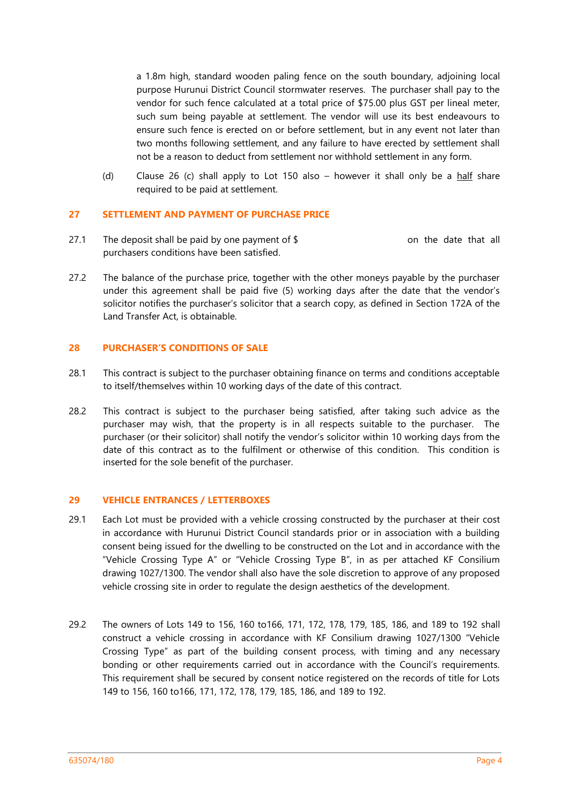a 1.8m high, standard wooden paling fence on the south boundary, adjoining local purpose Hurunui District Council stormwater reserves. The purchaser shall pay to the vendor for such fence calculated at a total price of \$75.00 plus GST per lineal meter, such sum being payable at settlement. The vendor will use its best endeavours to ensure such fence is erected on or before settlement, but in any event not later than two months following settlement, and any failure to have erected by settlement shall not be a reason to deduct from settlement nor withhold settlement in any form.

(d) Clause 26 (c) shall apply to Lot 150 also – however it shall only be a half share required to be paid at settlement.

## **27 SETTLEMENT AND PAYMENT OF PURCHASE PRICE**

- 27.1 The deposit shall be paid by one payment of  $\frac{1}{2}$  on the date that all purchasers conditions have been satisfied.
- 27.2 The balance of the purchase price, together with the other moneys payable by the purchaser under this agreement shall be paid five (5) working days after the date that the vendor's solicitor notifies the purchaser's solicitor that a search copy, as defined in Section 172A of the Land Transfer Act, is obtainable.

## **28 PURCHASER'S CONDITIONS OF SALE**

- 28.1 This contract is subject to the purchaser obtaining finance on terms and conditions acceptable to itself/themselves within 10 working days of the date of this contract.
- 28.2 This contract is subject to the purchaser being satisfied, after taking such advice as the purchaser may wish, that the property is in all respects suitable to the purchaser. The purchaser (or their solicitor) shall notify the vendor's solicitor within 10 working days from the date of this contract as to the fulfilment or otherwise of this condition. This condition is inserted for the sole benefit of the purchaser.

## **29 VEHICLE ENTRANCES / LETTERBOXES**

- 29.1 Each Lot must be provided with a vehicle crossing constructed by the purchaser at their cost in accordance with Hurunui District Council standards prior or in association with a building consent being issued for the dwelling to be constructed on the Lot and in accordance with the "Vehicle Crossing Type A" or "Vehicle Crossing Type B", in as per attached KF Consilium drawing 1027/1300. The vendor shall also have the sole discretion to approve of any proposed vehicle crossing site in order to regulate the design aesthetics of the development.
- 29.2 The owners of Lots 149 to 156, 160 to166, 171, 172, 178, 179, 185, 186, and 189 to 192 shall construct a vehicle crossing in accordance with KF Consilium drawing 1027/1300 "Vehicle Crossing Type" as part of the building consent process, with timing and any necessary bonding or other requirements carried out in accordance with the Council's requirements. This requirement shall be secured by consent notice registered on the records of title for Lots 149 to 156, 160 to166, 171, 172, 178, 179, 185, 186, and 189 to 192.